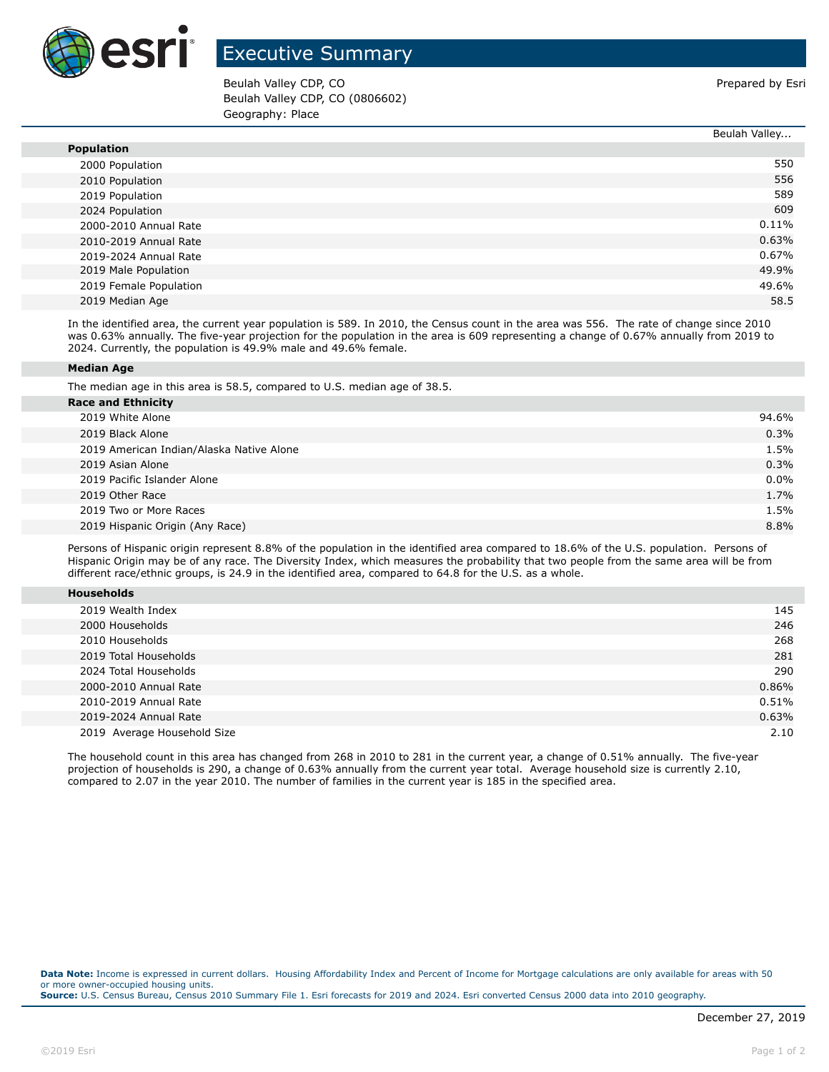

## Executive Summary

Beulah Valley CDP, CO **Prepared by Estimate Struck CDP, CO** Prepared by Esri Beulah Valley CDP, CO (0806602) Geography: Place

Beulah Valley...

|                        | beuldli valley |
|------------------------|----------------|
| <b>Population</b>      |                |
| 2000 Population        | 550            |
| 2010 Population        | 556            |
| 2019 Population        | 589            |
| 2024 Population        | 609            |
| 2000-2010 Annual Rate  | $0.11\%$       |
| 2010-2019 Annual Rate  | 0.63%          |
| 2019-2024 Annual Rate  | 0.67%          |
| 2019 Male Population   | 49.9%          |
| 2019 Female Population | 49.6%          |
| 2019 Median Age        | 58.5           |

In the identified area, the current year population is 589. In 2010, the Census count in the area was 556. The rate of change since 2010 was 0.63% annually. The five-year projection for the population in the area is 609 representing a change of 0.67% annually from 2019 to 2024. Currently, the population is 49.9% male and 49.6% female.

## **Median Age**

The median age in this area is 58.5, compared to U.S. median age of 38.5.

| <b>Race and Ethnicity</b>   |                                          |         |
|-----------------------------|------------------------------------------|---------|
| 2019 White Alone            |                                          | 94.6%   |
| 2019 Black Alone            |                                          | 0.3%    |
|                             | 2019 American Indian/Alaska Native Alone | 1.5%    |
| 2019 Asian Alone            |                                          | 0.3%    |
| 2019 Pacific Islander Alone |                                          | $0.0\%$ |
| 2019 Other Race             |                                          | 1.7%    |
| 2019 Two or More Races      |                                          | 1.5%    |
|                             | 2019 Hispanic Origin (Any Race)          | 8.8%    |
|                             |                                          |         |

Persons of Hispanic origin represent 8.8% of the population in the identified area compared to 18.6% of the U.S. population. Persons of Hispanic Origin may be of any race. The Diversity Index, which measures the probability that two people from the same area will be from different race/ethnic groups, is 24.9 in the identified area, compared to 64.8 for the U.S. as a whole.

| 2019 Wealth Index           | 145   |
|-----------------------------|-------|
| 2000 Households             | 246   |
| 2010 Households             | 268   |
| 2019 Total Households       | 281   |
| 2024 Total Households       | 290   |
| 2000-2010 Annual Rate       | 0.86% |
| 2010-2019 Annual Rate       | 0.51% |
| 2019-2024 Annual Rate       | 0.63% |
| 2019 Average Household Size | 2.10  |

The household count in this area has changed from 268 in 2010 to 281 in the current year, a change of 0.51% annually. The five-year projection of households is 290, a change of 0.63% annually from the current year total. Average household size is currently 2.10, compared to 2.07 in the year 2010. The number of families in the current year is 185 in the specified area.

**Data Note:** Income is expressed in current dollars. Housing Affordability Index and Percent of Income for Mortgage calculations are only available for areas with 50 or more owner-occupied housing units. **Source:** U.S. Census Bureau, Census 2010 Summary File 1. Esri forecasts for 2019 and 2024. Esri converted Census 2000 data into 2010 geography.